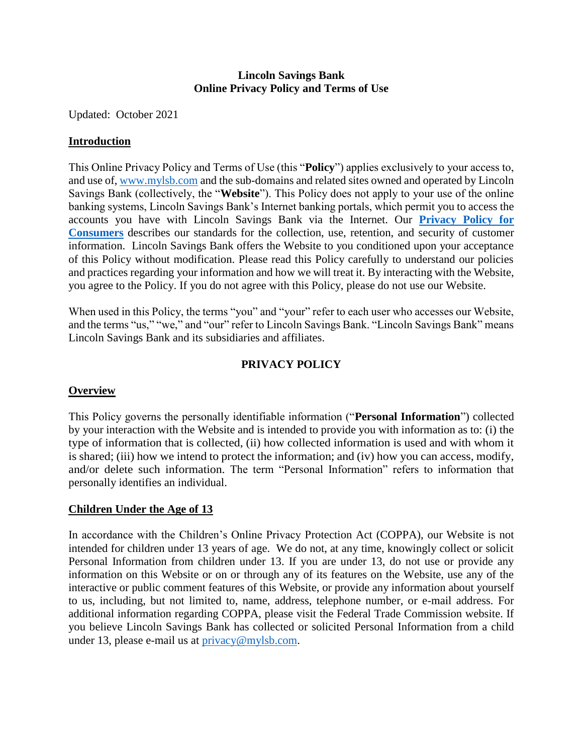#### **Lincoln Savings Bank Online Privacy Policy and Terms of Use**

Updated: October 2021

## **Introduction**

This Online Privacy Policy and Terms of Use (this "**Policy**") applies exclusively to your access to, and use of, [www.mylsb.com](http://www.mylsb.com/) and the sub-domains and related sites owned and operated by Lincoln Savings Bank (collectively, the "**Website**"). This Policy does not apply to your use of the online banking systems, Lincoln Savings Bank's Internet banking portals, which permit you to access the accounts you have with Lincoln Savings Bank via the Internet. Our **[Privacy Policy for](http://www.mylsb.com/webres/File/LSB-PrivacyNotice2021.pdf)  [Consumers](http://www.mylsb.com/webres/File/LSB-PrivacyNotice2021.pdf)** describes our standards for the collection, use, retention, and security of customer information. Lincoln Savings Bank offers the Website to you conditioned upon your acceptance of this Policy without modification. Please read this Policy carefully to understand our policies and practices regarding your information and how we will treat it. By interacting with the Website, you agree to the Policy. If you do not agree with this Policy, please do not use our Website.

When used in this Policy, the terms "you" and "your" refer to each user who accesses our Website, and the terms "us," "we," and "our" refer to Lincoln Savings Bank. "Lincoln Savings Bank" means Lincoln Savings Bank and its subsidiaries and affiliates.

# **PRIVACY POLICY**

# **Overview**

This Policy governs the personally identifiable information ("**Personal Information**") collected by your interaction with the Website and is intended to provide you with information as to: (i) the type of information that is collected, (ii) how collected information is used and with whom it is shared; (iii) how we intend to protect the information; and (iv) how you can access, modify, and/or delete such information. The term "Personal Information" refers to information that personally identifies an individual.

# **Children Under the Age of 13**

In accordance with the Children's Online Privacy Protection Act (COPPA), our Website is not intended for children under 13 years of age. We do not, at any time, knowingly collect or solicit Personal Information from children under 13. If you are under 13, do not use or provide any information on this Website or on or through any of its features on the Website, use any of the interactive or public comment features of this Website, or provide any information about yourself to us, including, but not limited to, name, address, telephone number, or e-mail address. For additional information regarding COPPA, please visit the Federal Trade Commission website. If you believe Lincoln Savings Bank has collected or solicited Personal Information from a child under 13, please e-mail us at [privacy@mylsb.com.](mailto:privacy@mylsb.com)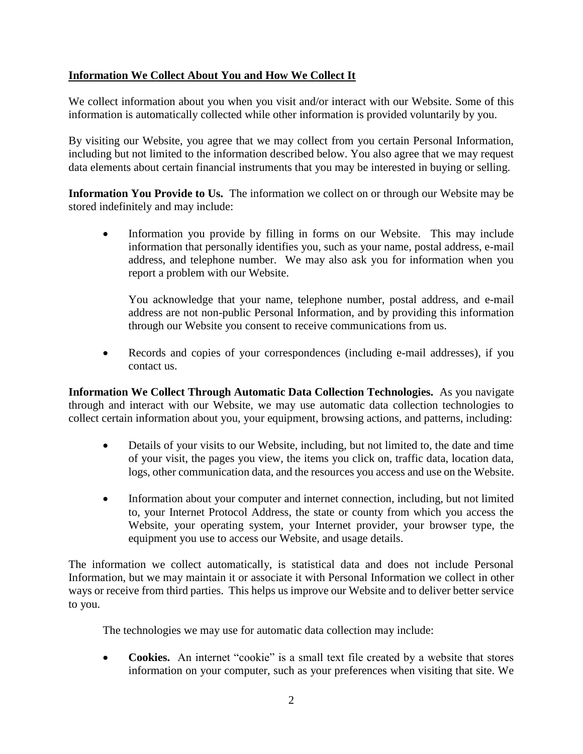# **Information We Collect About You and How We Collect It**

We collect information about you when you visit and/or interact with our Website. Some of this information is automatically collected while other information is provided voluntarily by you.

By visiting our Website, you agree that we may collect from you certain Personal Information, including but not limited to the information described below. You also agree that we may request data elements about certain financial instruments that you may be interested in buying or selling.

**Information You Provide to Us.** The information we collect on or through our Website may be stored indefinitely and may include:

 Information you provide by filling in forms on our Website. This may include information that personally identifies you, such as your name, postal address, e-mail address, and telephone number. We may also ask you for information when you report a problem with our Website.

You acknowledge that your name, telephone number, postal address, and e-mail address are not non-public Personal Information, and by providing this information through our Website you consent to receive communications from us.

 Records and copies of your correspondences (including e-mail addresses), if you contact us.

**Information We Collect Through Automatic Data Collection Technologies.** As you navigate through and interact with our Website, we may use automatic data collection technologies to collect certain information about you, your equipment, browsing actions, and patterns, including:

- Details of your visits to our Website, including, but not limited to, the date and time of your visit, the pages you view, the items you click on, traffic data, location data, logs, other communication data, and the resources you access and use on the Website.
- Information about your computer and internet connection, including, but not limited to, your Internet Protocol Address, the state or county from which you access the Website, your operating system, your Internet provider, your browser type, the equipment you use to access our Website, and usage details.

The information we collect automatically, is statistical data and does not include Personal Information, but we may maintain it or associate it with Personal Information we collect in other ways or receive from third parties. This helps us improve our Website and to deliver better service to you.

The technologies we may use for automatic data collection may include:

• **Cookies.** An internet "cookie" is a small text file created by a website that stores information on your computer, such as your preferences when visiting that site. We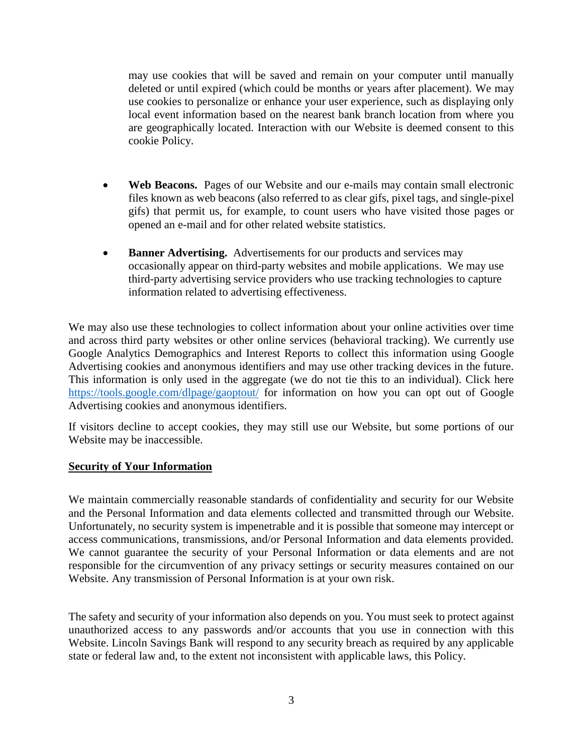may use cookies that will be saved and remain on your computer until manually deleted or until expired (which could be months or years after placement). We may use cookies to personalize or enhance your user experience, such as displaying only local event information based on the nearest bank branch location from where you are geographically located. Interaction with our Website is deemed consent to this cookie Policy.

- **Web Beacons.** Pages of our Website and our e-mails may contain small electronic files known as web beacons (also referred to as clear gifs, pixel tags, and single-pixel gifs) that permit us, for example, to count users who have visited those pages or opened an e-mail and for other related website statistics.
- **Banner Advertising.** Advertisements for our products and services may occasionally appear on third-party websites and mobile applications. We may use third-party advertising service providers who use tracking technologies to capture information related to advertising effectiveness.

We may also use these technologies to collect information about your online activities over time and across third party websites or other online services (behavioral tracking). We currently use Google Analytics Demographics and Interest Reports to collect this information using Google Advertising cookies and anonymous identifiers and may use other tracking devices in the future. This information is only used in the aggregate (we do not tie this to an individual). Click here <https://tools.google.com/dlpage/gaoptout/> for information on how you can opt out of Google Advertising cookies and anonymous identifiers.

If visitors decline to accept cookies, they may still use our Website, but some portions of our Website may be inaccessible.

#### **Security of Your Information**

We maintain commercially reasonable standards of confidentiality and security for our Website and the Personal Information and data elements collected and transmitted through our Website. Unfortunately, no security system is impenetrable and it is possible that someone may intercept or access communications, transmissions, and/or Personal Information and data elements provided. We cannot guarantee the security of your Personal Information or data elements and are not responsible for the circumvention of any privacy settings or security measures contained on our Website. Any transmission of Personal Information is at your own risk.

The safety and security of your information also depends on you. You must seek to protect against unauthorized access to any passwords and/or accounts that you use in connection with this Website. Lincoln Savings Bank will respond to any security breach as required by any applicable state or federal law and, to the extent not inconsistent with applicable laws, this Policy.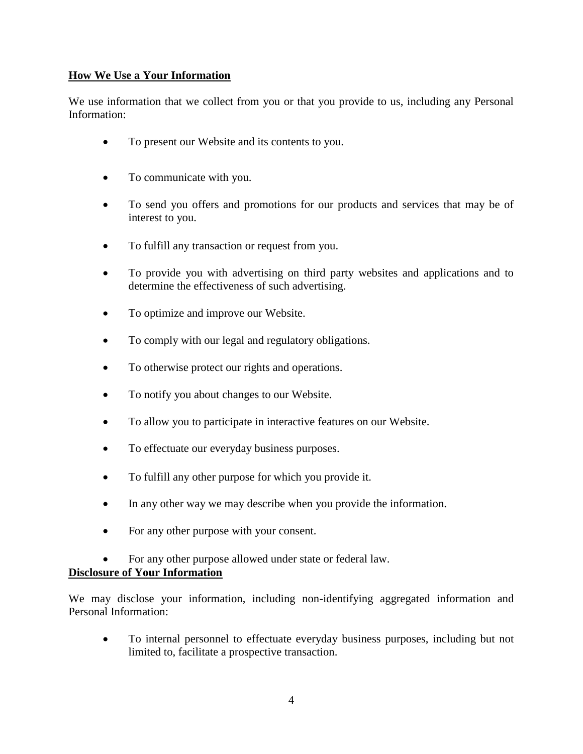# **How We Use a Your Information**

We use information that we collect from you or that you provide to us, including any Personal Information:

- To present our Website and its contents to you.
- To communicate with you.
- To send you offers and promotions for our products and services that may be of interest to you.
- To fulfill any transaction or request from you.
- To provide you with advertising on third party websites and applications and to determine the effectiveness of such advertising.
- To optimize and improve our Website.
- To comply with our legal and regulatory obligations.
- To otherwise protect our rights and operations.
- To notify you about changes to our Website.
- To allow you to participate in interactive features on our Website.
- To effectuate our everyday business purposes.
- To fulfill any other purpose for which you provide it.
- In any other way we may describe when you provide the information.
- For any other purpose with your consent.
- For any other purpose allowed under state or federal law.

# **Disclosure of Your Information**

We may disclose your information, including non-identifying aggregated information and Personal Information:

 To internal personnel to effectuate everyday business purposes, including but not limited to, facilitate a prospective transaction.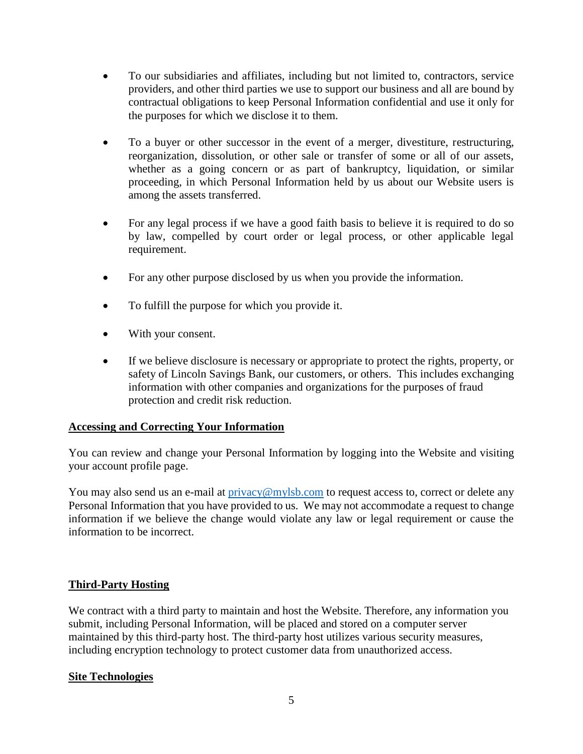- To our subsidiaries and affiliates, including but not limited to, contractors, service providers, and other third parties we use to support our business and all are bound by contractual obligations to keep Personal Information confidential and use it only for the purposes for which we disclose it to them.
- To a buyer or other successor in the event of a merger, divestiture, restructuring, reorganization, dissolution, or other sale or transfer of some or all of our assets, whether as a going concern or as part of bankruptcy, liquidation, or similar proceeding, in which Personal Information held by us about our Website users is among the assets transferred.
- For any legal process if we have a good faith basis to believe it is required to do so by law, compelled by court order or legal process, or other applicable legal requirement.
- For any other purpose disclosed by us when you provide the information.
- To fulfill the purpose for which you provide it.
- With your consent.
- If we believe disclosure is necessary or appropriate to protect the rights, property, or safety of Lincoln Savings Bank, our customers, or others. This includes exchanging information with other companies and organizations for the purposes of fraud protection and credit risk reduction.

# **Accessing and Correcting Your Information**

You can review and change your Personal Information by logging into the Website and visiting your account profile page.

You may also send us an e-mail at  $\text{privacy@mylsb.com}$  to request access to, correct or delete any Personal Information that you have provided to us. We may not accommodate a request to change information if we believe the change would violate any law or legal requirement or cause the information to be incorrect.

# **Third-Party Hosting**

We contract with a third party to maintain and host the Website. Therefore, any information you submit, including Personal Information, will be placed and stored on a computer server maintained by this third-party host. The third-party host utilizes various security measures, including encryption technology to protect customer data from unauthorized access.

#### **Site Technologies**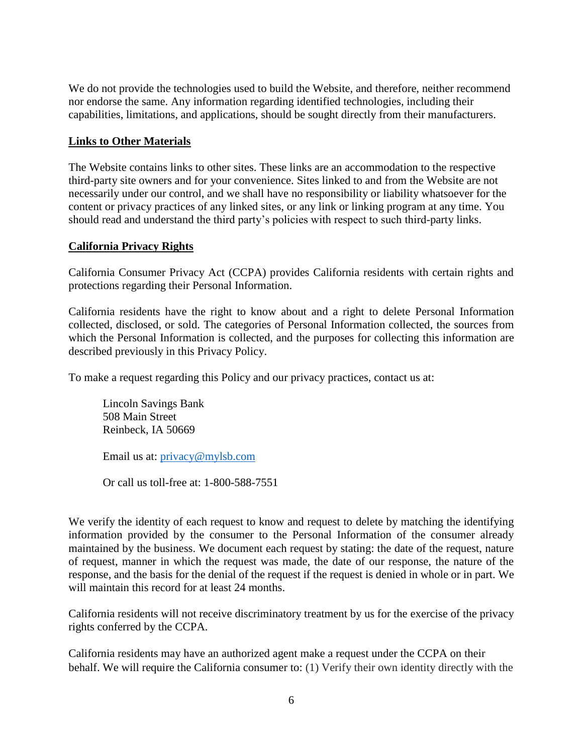We do not provide the technologies used to build the Website, and therefore, neither recommend nor endorse the same. Any information regarding identified technologies, including their capabilities, limitations, and applications, should be sought directly from their manufacturers.

### **Links to Other Materials**

The Website contains links to other sites. These links are an accommodation to the respective third-party site owners and for your convenience. Sites linked to and from the Website are not necessarily under our control, and we shall have no responsibility or liability whatsoever for the content or privacy practices of any linked sites, or any link or linking program at any time. You should read and understand the third party's policies with respect to such third-party links.

### **California Privacy Rights**

California Consumer Privacy Act (CCPA) provides California residents with certain rights and protections regarding their Personal Information.

California residents have the right to know about and a right to delete Personal Information collected, disclosed, or sold. The categories of Personal Information collected, the sources from which the Personal Information is collected, and the purposes for collecting this information are described previously in this Privacy Policy.

To make a request regarding this Policy and our privacy practices, contact us at:

Lincoln Savings Bank 508 Main Street Reinbeck, IA 50669

Email us at: [privacy@mylsb.com](mailto:privacy@mylsb.com)

Or call us toll-free at: 1-800-588-7551

We verify the identity of each request to know and request to delete by matching the identifying information provided by the consumer to the Personal Information of the consumer already maintained by the business. We document each request by stating: the date of the request, nature of request, manner in which the request was made, the date of our response, the nature of the response, and the basis for the denial of the request if the request is denied in whole or in part. We will maintain this record for at least 24 months.

California residents will not receive discriminatory treatment by us for the exercise of the privacy rights conferred by the CCPA.

California residents may have an authorized agent make a request under the CCPA on their behalf. We will require the California consumer to: (1) Verify their own identity directly with the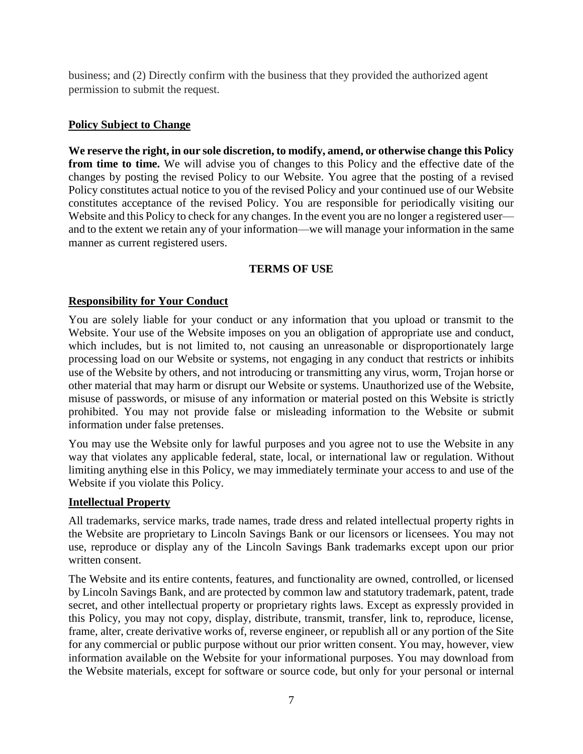business; and (2) Directly confirm with the business that they provided the authorized agent permission to submit the request.

## **Policy Subject to Change**

**We reserve the right, in our sole discretion, to modify, amend, or otherwise change this Policy from time to time.** We will advise you of changes to this Policy and the effective date of the changes by posting the revised Policy to our Website. You agree that the posting of a revised Policy constitutes actual notice to you of the revised Policy and your continued use of our Website constitutes acceptance of the revised Policy. You are responsible for periodically visiting our Website and this Policy to check for any changes. In the event you are no longer a registered user and to the extent we retain any of your information—we will manage your information in the same manner as current registered users.

### **TERMS OF USE**

### **Responsibility for Your Conduct**

You are solely liable for your conduct or any information that you upload or transmit to the Website. Your use of the Website imposes on you an obligation of appropriate use and conduct, which includes, but is not limited to, not causing an unreasonable or disproportionately large processing load on our Website or systems, not engaging in any conduct that restricts or inhibits use of the Website by others, and not introducing or transmitting any virus, worm, Trojan horse or other material that may harm or disrupt our Website or systems. Unauthorized use of the Website, misuse of passwords, or misuse of any information or material posted on this Website is strictly prohibited. You may not provide false or misleading information to the Website or submit information under false pretenses.

You may use the Website only for lawful purposes and you agree not to use the Website in any way that violates any applicable federal, state, local, or international law or regulation. Without limiting anything else in this Policy, we may immediately terminate your access to and use of the Website if you violate this Policy.

#### **Intellectual Property**

All trademarks, service marks, trade names, trade dress and related intellectual property rights in the Website are proprietary to Lincoln Savings Bank or our licensors or licensees. You may not use, reproduce or display any of the Lincoln Savings Bank trademarks except upon our prior written consent.

The Website and its entire contents, features, and functionality are owned, controlled, or licensed by Lincoln Savings Bank, and are protected by common law and statutory trademark, patent, trade secret, and other intellectual property or proprietary rights laws. Except as expressly provided in this Policy, you may not copy, display, distribute, transmit, transfer, link to, reproduce, license, frame, alter, create derivative works of, reverse engineer, or republish all or any portion of the Site for any commercial or public purpose without our prior written consent. You may, however, view information available on the Website for your informational purposes. You may download from the Website materials, except for software or source code, but only for your personal or internal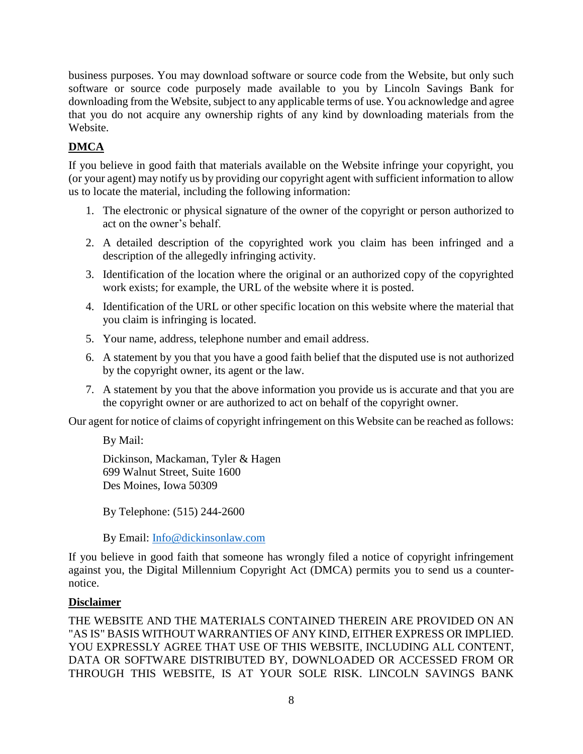business purposes. You may download software or source code from the Website, but only such software or source code purposely made available to you by Lincoln Savings Bank for downloading from the Website, subject to any applicable terms of use. You acknowledge and agree that you do not acquire any ownership rights of any kind by downloading materials from the Website.

# **DMCA**

If you believe in good faith that materials available on the Website infringe your copyright, you (or your agent) may notify us by providing our copyright agent with sufficient information to allow us to locate the material, including the following information:

- 1. The electronic or physical signature of the owner of the copyright or person authorized to act on the owner's behalf.
- 2. A detailed description of the copyrighted work you claim has been infringed and a description of the allegedly infringing activity.
- 3. Identification of the location where the original or an authorized copy of the copyrighted work exists; for example, the URL of the website where it is posted.
- 4. Identification of the URL or other specific location on this website where the material that you claim is infringing is located.
- 5. Your name, address, telephone number and email address.
- 6. A statement by you that you have a good faith belief that the disputed use is not authorized by the copyright owner, its agent or the law.
- 7. A statement by you that the above information you provide us is accurate and that you are the copyright owner or are authorized to act on behalf of the copyright owner.

Our agent for notice of claims of copyright infringement on this Website can be reached as follows:

By Mail:

Dickinson, Mackaman, Tyler & Hagen 699 Walnut Street, Suite 1600 Des Moines, Iowa 50309

By Telephone: (515) 244-2600

By Email: [Info@dickinsonlaw.com](mailto:Info@dickinsonlaw.com)

If you believe in good faith that someone has wrongly filed a notice of copyright infringement against you, the Digital Millennium Copyright Act (DMCA) permits you to send us a counternotice.

# **Disclaimer**

THE WEBSITE AND THE MATERIALS CONTAINED THEREIN ARE PROVIDED ON AN "AS IS" BASIS WITHOUT WARRANTIES OF ANY KIND, EITHER EXPRESS OR IMPLIED. YOU EXPRESSLY AGREE THAT USE OF THIS WEBSITE, INCLUDING ALL CONTENT, DATA OR SOFTWARE DISTRIBUTED BY, DOWNLOADED OR ACCESSED FROM OR THROUGH THIS WEBSITE, IS AT YOUR SOLE RISK. LINCOLN SAVINGS BANK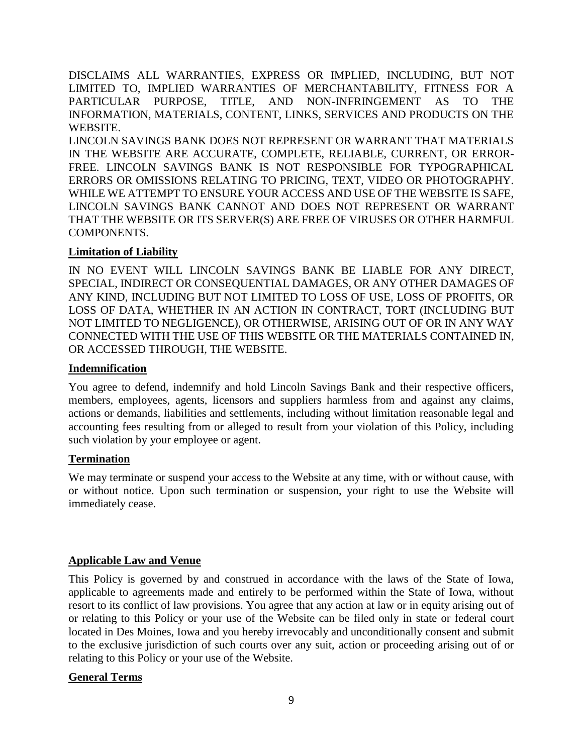DISCLAIMS ALL WARRANTIES, EXPRESS OR IMPLIED, INCLUDING, BUT NOT LIMITED TO, IMPLIED WARRANTIES OF MERCHANTABILITY, FITNESS FOR A PARTICULAR PURPOSE, TITLE, AND NON-INFRINGEMENT AS TO THE INFORMATION, MATERIALS, CONTENT, LINKS, SERVICES AND PRODUCTS ON THE WEBSITE.

LINCOLN SAVINGS BANK DOES NOT REPRESENT OR WARRANT THAT MATERIALS IN THE WEBSITE ARE ACCURATE, COMPLETE, RELIABLE, CURRENT, OR ERROR-FREE. LINCOLN SAVINGS BANK IS NOT RESPONSIBLE FOR TYPOGRAPHICAL ERRORS OR OMISSIONS RELATING TO PRICING, TEXT, VIDEO OR PHOTOGRAPHY. WHILE WE ATTEMPT TO ENSURE YOUR ACCESS AND USE OF THE WEBSITE IS SAFE, LINCOLN SAVINGS BANK CANNOT AND DOES NOT REPRESENT OR WARRANT THAT THE WEBSITE OR ITS SERVER(S) ARE FREE OF VIRUSES OR OTHER HARMFUL COMPONENTS.

### **Limitation of Liability**

IN NO EVENT WILL LINCOLN SAVINGS BANK BE LIABLE FOR ANY DIRECT, SPECIAL, INDIRECT OR CONSEQUENTIAL DAMAGES, OR ANY OTHER DAMAGES OF ANY KIND, INCLUDING BUT NOT LIMITED TO LOSS OF USE, LOSS OF PROFITS, OR LOSS OF DATA, WHETHER IN AN ACTION IN CONTRACT, TORT (INCLUDING BUT NOT LIMITED TO NEGLIGENCE), OR OTHERWISE, ARISING OUT OF OR IN ANY WAY CONNECTED WITH THE USE OF THIS WEBSITE OR THE MATERIALS CONTAINED IN, OR ACCESSED THROUGH, THE WEBSITE.

#### **Indemnification**

You agree to defend, indemnify and hold Lincoln Savings Bank and their respective officers, members, employees, agents, licensors and suppliers harmless from and against any claims, actions or demands, liabilities and settlements, including without limitation reasonable legal and accounting fees resulting from or alleged to result from your violation of this Policy, including such violation by your employee or agent.

#### **Termination**

We may terminate or suspend your access to the Website at any time, with or without cause, with or without notice. Upon such termination or suspension, your right to use the Website will immediately cease.

# **Applicable Law and Venue**

This Policy is governed by and construed in accordance with the laws of the State of Iowa, applicable to agreements made and entirely to be performed within the State of Iowa, without resort to its conflict of law provisions. You agree that any action at law or in equity arising out of or relating to this Policy or your use of the Website can be filed only in state or federal court located in Des Moines, Iowa and you hereby irrevocably and unconditionally consent and submit to the exclusive jurisdiction of such courts over any suit, action or proceeding arising out of or relating to this Policy or your use of the Website.

#### **General Terms**